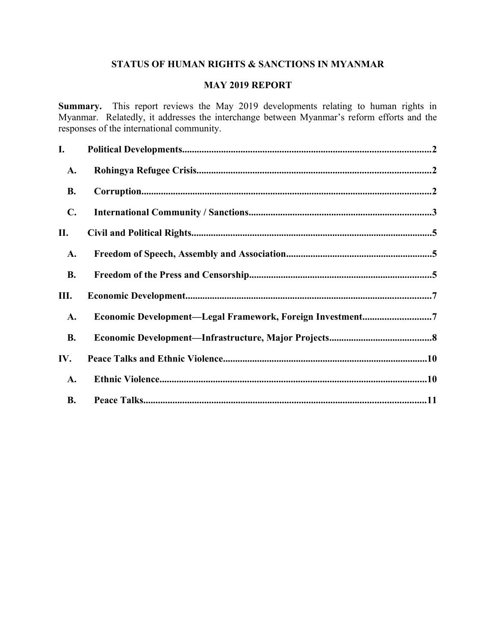## **STATUS OF HUMAN RIGHTS & SANCTIONS IN MYANMAR**

## **MAY 2019 REPORT**

**Summary.** This report reviews the May 2019 developments relating to human rights in Myanmar. Relatedly, it addresses the interchange between Myanmar's reform efforts and the responses of the international community.

| I.             |                                                           |  |
|----------------|-----------------------------------------------------------|--|
| A.             |                                                           |  |
| <b>B.</b>      |                                                           |  |
| $\mathbf{C}$ . |                                                           |  |
| П.             |                                                           |  |
| A.             |                                                           |  |
| <b>B.</b>      |                                                           |  |
| Ш.             |                                                           |  |
| A.             | Economic Development-Legal Framework, Foreign Investment7 |  |
| <b>B.</b>      |                                                           |  |
| IV.            |                                                           |  |
| <b>A.</b>      |                                                           |  |
| <b>B.</b>      |                                                           |  |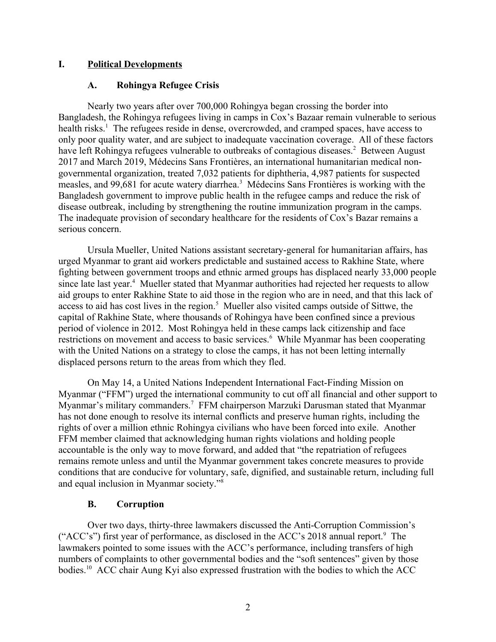## **I. Political Developments**

## <span id="page-1-2"></span><span id="page-1-0"></span>**A. Rohingya Refugee Crisis**

Nearly two years after over 700,000 Rohingya began crossing the border into Bangladesh, the Rohingya refugees living in camps in Cox's Bazaar remain vulnerable to serious health risks.<sup>1</sup> The refugees reside in dense, overcrowded, and cramped spaces, have access to only poor quality water, and are subject to inadequate vaccination coverage. All of these factors have left Rohingya refugees vulnerable to outbreaks of contagious diseases.<sup>2</sup> Between August 2017 and March 2019, Médecins Sans Frontières, an international humanitarian medical nongovernmental organization, treated 7,032 patients for diphtheria, 4,987 patients for suspected measles, and 99,681 for acute watery diarrhea.<sup>3</sup> Médecins Sans Frontières is working with the Bangladesh government to improve public health in the refugee camps and reduce the risk of disease outbreak, including by strengthening the routine immunization program in the camps. The inadequate provision of secondary healthcare for the residents of Cox's Bazar remains a serious concern.

Ursula Mueller, United Nations assistant secretary-general for humanitarian affairs, has urged Myanmar to grant aid workers predictable and sustained access to Rakhine State, where fighting between government troops and ethnic armed groups has displaced nearly 33,000 people since late last year.<sup>4</sup> Mueller stated that Myanmar authorities had rejected her requests to allow aid groups to enter Rakhine State to aid those in the region who are in need, and that this lack of access to aid has cost lives in the region.<sup>5</sup> Mueller also visited camps outside of Sittwe, the capital of Rakhine State, where thousands of Rohingya have been confined since a previous period of violence in 2012. Most Rohingya held in these camps lack citizenship and face restrictions on movement and access to basic services.<sup>6</sup> While Myanmar has been cooperating with the United Nations on a strategy to close the camps, it has not been letting internally displaced persons return to the areas from which they fled.

On May 14, a United Nations Independent International Fact-Finding Mission on Myanmar ("FFM") urged the international community to cut off all financial and other support to Myanmar's military commanders.<sup>7</sup> FFM chairperson Marzuki Darusman stated that Myanmar has not done enough to resolve its internal conflicts and preserve human rights, including the rights of over a million ethnic Rohingya civilians who have been forced into exile. Another FFM member claimed that acknowledging human rights violations and holding people accountable is the only way to move forward, and added that "the repatriation of refugees remains remote unless and until the Myanmar government takes concrete measures to provide conditions that are conducive for voluntary, safe, dignified, and sustainable return, including full and equal inclusion in Myanmar society."<sup>8</sup>

## <span id="page-1-1"></span>**B. Corruption**

Over two days, thirty-three lawmakers discussed the Anti-Corruption Commission's ("ACC's") first year of performance, as disclosed in the ACC's 2018 annual report.<sup>9</sup> The lawmakers pointed to some issues with the ACC's performance, including transfers of high numbers of complaints to other governmental bodies and the "soft sentences" given by those bodies.<sup>10</sup> ACC chair Aung Kyi also expressed frustration with the bodies to which the ACC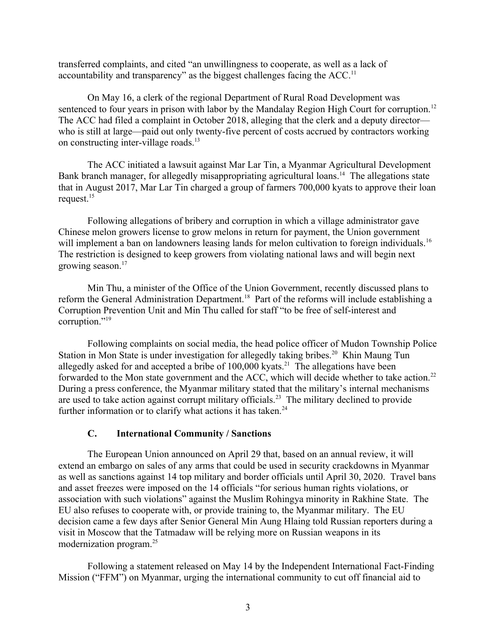transferred complaints, and cited "an unwillingness to cooperate, as well as a lack of accountability and transparency" as the biggest challenges facing the  $ACC<sub>11</sub>$ .

On May 16, a clerk of the regional Department of Rural Road Development was sentenced to four years in prison with labor by the Mandalay Region High Court for corruption.<sup>12</sup> The ACC had filed a complaint in October 2018, alleging that the clerk and a deputy director who is still at large—paid out only twenty-five percent of costs accrued by contractors working on constructing inter-village roads.<sup>13</sup>

The ACC initiated a lawsuit against Mar Lar Tin, a Myanmar Agricultural Development Bank branch manager, for allegedly misappropriating agricultural loans.<sup>14</sup> The allegations state that in August 2017, Mar Lar Tin charged a group of farmers 700,000 kyats to approve their loan request.<sup>15</sup>

Following allegations of bribery and corruption in which a village administrator gave Chinese melon growers license to grow melons in return for payment, the Union government will implement a ban on landowners leasing lands for melon cultivation to foreign individuals.<sup>16</sup> The restriction is designed to keep growers from violating national laws and will begin next growing season.<sup>17</sup>

Min Thu, a minister of the Office of the Union Government, recently discussed plans to reform the General Administration Department.<sup>18</sup> Part of the reforms will include establishing a Corruption Prevention Unit and Min Thu called for staff "to be free of self-interest and corruption."<sup>19</sup>

Following complaints on social media, the head police officer of Mudon Township Police Station in Mon State is under investigation for allegedly taking bribes.<sup>20</sup> Khin Maung Tun allegedly asked for and accepted a bribe of  $100,000$  kyats.<sup>21</sup> The allegations have been forwarded to the Mon state government and the ACC, which will decide whether to take action.<sup>22</sup> During a press conference, the Myanmar military stated that the military's internal mechanisms are used to take action against corrupt military officials.<sup>23</sup> The military declined to provide further information or to clarify what actions it has taken. $24$ 

#### <span id="page-2-0"></span>**C. International Community / Sanctions**

The European Union announced on April 29 that, based on an annual review, it will extend an embargo on sales of any arms that could be used in security crackdowns in Myanmar as well as sanctions against 14 top military and border officials until April 30, 2020. Travel bans and asset freezes were imposed on the 14 officials "for serious human rights violations, or association with such violations" against the Muslim Rohingya minority in Rakhine State. The EU also refuses to cooperate with, or provide training to, the Myanmar military. The EU decision came a few days after Senior General Min Aung Hlaing told Russian reporters during a visit in Moscow that the Tatmadaw will be relying more on Russian weapons in its modernization program.<sup>25</sup>

Following a statement released on May 14 by the Independent International Fact-Finding Mission ("FFM") on Myanmar, urging the international community to cut off financial aid to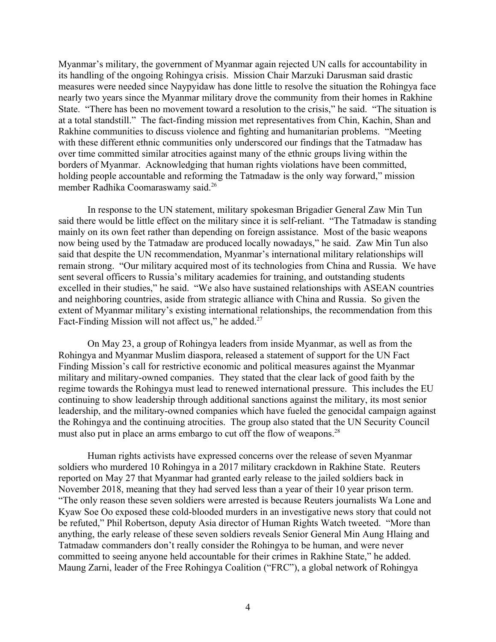Myanmar's military, the government of Myanmar again rejected UN calls for accountability in its handling of the ongoing Rohingya crisis. Mission Chair Marzuki Darusman said drastic measures were needed since Naypyidaw has done little to resolve the situation the Rohingya face nearly two years since the Myanmar military drove the community from their homes in Rakhine State. "There has been no movement toward a resolution to the crisis," he said. "The situation is at a total standstill." The fact-finding mission met representatives from Chin, Kachin, Shan and Rakhine communities to discuss violence and fighting and humanitarian problems. "Meeting with these different ethnic communities only underscored our findings that the Tatmadaw has over time committed similar atrocities against many of the ethnic groups living within the borders of Myanmar. Acknowledging that human rights violations have been committed, holding people accountable and reforming the Tatmadaw is the only way forward," mission member Radhika Coomaraswamy said.<sup>26</sup>

In response to the UN statement, military spokesman Brigadier General Zaw Min Tun said there would be little effect on the military since it is self-reliant. "The Tatmadaw is standing mainly on its own feet rather than depending on foreign assistance. Most of the basic weapons now being used by the Tatmadaw are produced locally nowadays," he said. Zaw Min Tun also said that despite the UN recommendation, Myanmar's international military relationships will remain strong. "Our military acquired most of its technologies from China and Russia. We have sent several officers to Russia's military academies for training, and outstanding students excelled in their studies," he said. "We also have sustained relationships with ASEAN countries and neighboring countries, aside from strategic alliance with China and Russia. So given the extent of Myanmar military's existing international relationships, the recommendation from this Fact-Finding Mission will not affect us," he added.<sup>27</sup>

On May 23, a group of Rohingya leaders from inside Myanmar, as well as from the Rohingya and Myanmar Muslim diaspora, released a statement of support for the UN Fact Finding Mission's call for restrictive economic and political measures against the Myanmar military and military-owned companies. They stated that the clear lack of good faith by the regime towards the Rohingya must lead to renewed international pressure. This includes the EU continuing to show leadership through additional sanctions against the military, its most senior leadership, and the military-owned companies which have fueled the genocidal campaign against the Rohingya and the continuing atrocities. The group also stated that the UN Security Council must also put in place an arms embargo to cut off the flow of weapons.<sup>28</sup>

Human rights activists have expressed concerns over the release of seven Myanmar soldiers who murdered 10 Rohingya in a 2017 military crackdown in Rakhine State. Reuters reported on May 27 that Myanmar had granted early release to the jailed soldiers back in November 2018, meaning that they had served less than a year of their 10 year prison term. "The only reason these seven soldiers were arrested is because Reuters journalists Wa Lone and Kyaw Soe Oo exposed these cold-blooded murders in an investigative news story that could not be refuted," Phil Robertson, deputy Asia director of Human Rights Watch tweeted. "More than anything, the early release of these seven soldiers reveals Senior General Min Aung Hlaing and Tatmadaw commanders don't really consider the Rohingya to be human, and were never committed to seeing anyone held accountable for their crimes in Rakhine State," he added. Maung Zarni, leader of the Free Rohingya Coalition ("FRC"), a global network of Rohingya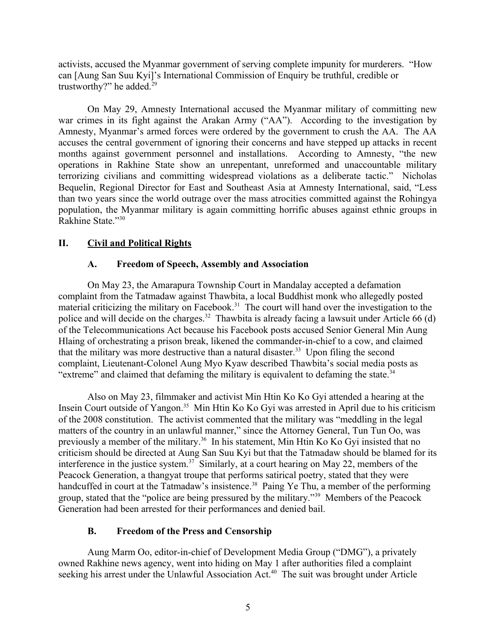activists, accused the Myanmar government of serving complete impunity for murderers. "How can [Aung San Suu Kyi]'s International Commission of Enquiry be truthful, credible or trustworthy?" he added.<sup>29</sup>

On May 29, Amnesty International accused the Myanmar military of committing new war crimes in its fight against the Arakan Army ("AA"). According to the investigation by Amnesty, Myanmar's armed forces were ordered by the government to crush the AA. The AA accuses the central government of ignoring their concerns and have stepped up attacks in recent months against government personnel and installations. According to Amnesty, "the new operations in Rakhine State show an unrepentant, unreformed and unaccountable military terrorizing civilians and committing widespread violations as a deliberate tactic." Nicholas Bequelin, Regional Director for East and Southeast Asia at Amnesty International, said, "Less than two years since the world outrage over the mass atrocities committed against the Rohingya population, the Myanmar military is again committing horrific abuses against ethnic groups in Rakhine State."<sup>30</sup>

## **II. Civil and Political Rights**

## <span id="page-4-2"></span><span id="page-4-1"></span>**A. Freedom of Speech, Assembly and Association**

On May 23, the Amarapura Township Court in Mandalay accepted a defamation complaint from the Tatmadaw against Thawbita, a local Buddhist monk who allegedly posted material criticizing the military on Facebook.<sup>31</sup> The court will hand over the investigation to the police and will decide on the charges.<sup>32</sup> Thawbita is already facing a lawsuit under Article 66 (d) of the Telecommunications Act because his Facebook posts accused Senior General Min Aung Hlaing of orchestrating a prison break, likened the commander-in-chief to a cow, and claimed that the military was more destructive than a natural disaster.<sup>33</sup> Upon filing the second complaint, Lieutenant-Colonel Aung Myo Kyaw described Thawbita's social media posts as "extreme" and claimed that defaming the military is equivalent to defaming the state. $34$ 

Also on May 23, filmmaker and activist Min Htin Ko Ko Gyi attended a hearing at the Insein Court outside of Yangon.<sup>35</sup> Min Htin Ko Ko Gyi was arrested in April due to his criticism of the 2008 constitution. The activist commented that the military was "meddling in the legal matters of the country in an unlawful manner," since the Attorney General, Tun Tun Oo, was previously a member of the military.<sup>36</sup> In his statement, Min Htin Ko Ko Gyi insisted that no criticism should be directed at Aung San Suu Kyi but that the Tatmadaw should be blamed for its interference in the justice system.<sup>37</sup> Similarly, at a court hearing on May 22, members of the Peacock Generation, a thangyat troupe that performs satirical poetry, stated that they were handcuffed in court at the Tatmadaw's insistence.<sup>38</sup> Paing Ye Thu, a member of the performing group, stated that the "police are being pressured by the military."<sup>39</sup> Members of the Peacock Generation had been arrested for their performances and denied bail.

## <span id="page-4-0"></span>**B. Freedom of the Press and Censorship**

Aung Marm Oo, editor-in-chief of Development Media Group ("DMG"), a privately owned Rakhine news agency, went into hiding on May 1 after authorities filed a complaint seeking his arrest under the Unlawful Association Act.<sup>40</sup> The suit was brought under Article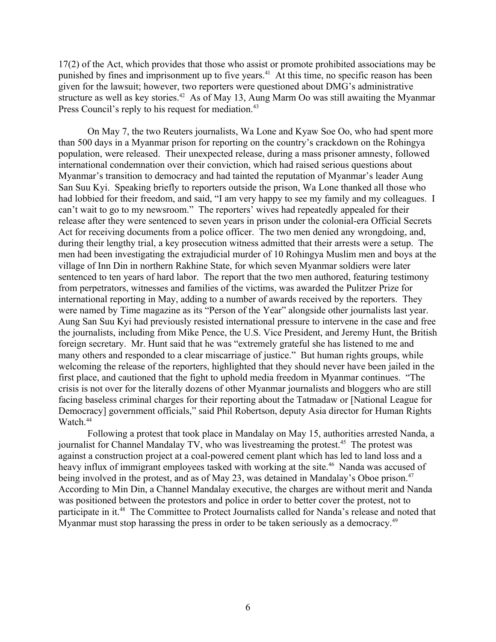17(2) of the Act, which provides that those who assist or promote prohibited associations may be punished by fines and imprisonment up to five years.<sup>41</sup> At this time, no specific reason has been given for the lawsuit; however, two reporters were questioned about DMG's administrative structure as well as key stories.<sup>42</sup> As of May 13, Aung Marm Oo was still awaiting the Myanmar Press Council's reply to his request for mediation.<sup>43</sup>

On May 7, the two Reuters journalists, Wa Lone and Kyaw Soe Oo, who had spent more than 500 days in a Myanmar prison for reporting on the country's crackdown on the Rohingya population, were released. Their unexpected release, during a mass prisoner amnesty, followed international condemnation over their conviction, which had raised serious questions about Myanmar's transition to democracy and had tainted the reputation of Myanmar's leader Aung San Suu Kyi. Speaking briefly to reporters outside the prison, Wa Lone thanked all those who had lobbied for their freedom, and said, "I am very happy to see my family and my colleagues. I can't wait to go to my newsroom." The reporters' wives had repeatedly appealed for their release after they were sentenced to seven years in prison under the colonial-era Official Secrets Act for receiving documents from a police officer. The two men denied any wrongdoing, and, during their lengthy trial, a key prosecution witness admitted that their arrests were a setup. The men had been investigating the extrajudicial murder of 10 Rohingya Muslim men and boys at the village of Inn Din in northern Rakhine State, for which seven Myanmar soldiers were later sentenced to ten years of hard labor. The report that the two men authored, featuring testimony from perpetrators, witnesses and families of the victims, was awarded the Pulitzer Prize for international reporting in May, adding to a number of awards received by the reporters. They were named by Time magazine as its "Person of the Year" alongside other journalists last year. Aung San Suu Kyi had previously resisted international pressure to intervene in the case and free the journalists, including from Mike Pence, the U.S. Vice President, and Jeremy Hunt, the British foreign secretary. Mr. Hunt said that he was "extremely grateful she has listened to me and many others and responded to a clear miscarriage of justice." But human rights groups, while welcoming the release of the reporters, highlighted that they should never have been jailed in the first place, and cautioned that the fight to uphold media freedom in Myanmar continues. "The crisis is not over for the literally dozens of other Myanmar journalists and bloggers who are still facing baseless criminal charges for their reporting about the Tatmadaw or [National League for Democracy] government officials," said Phil Robertson, deputy Asia director for Human Rights Watch.<sup>44</sup>

Following a protest that took place in Mandalay on May 15, authorities arrested Nanda, a journalist for Channel Mandalay TV, who was livestreaming the protest.<sup>45</sup> The protest was against a construction project at a coal-powered cement plant which has led to land loss and a heavy influx of immigrant employees tasked with working at the site.<sup>46</sup> Nanda was accused of being involved in the protest, and as of May 23, was detained in Mandalay's Oboe prison.<sup>47</sup> According to Min Din, a Channel Mandalay executive, the charges are without merit and Nanda was positioned between the protestors and police in order to better cover the protest, not to participate in it.<sup>48</sup> The Committee to Protect Journalists called for Nanda's release and noted that Myanmar must stop harassing the press in order to be taken seriously as a democracy.<sup>49</sup>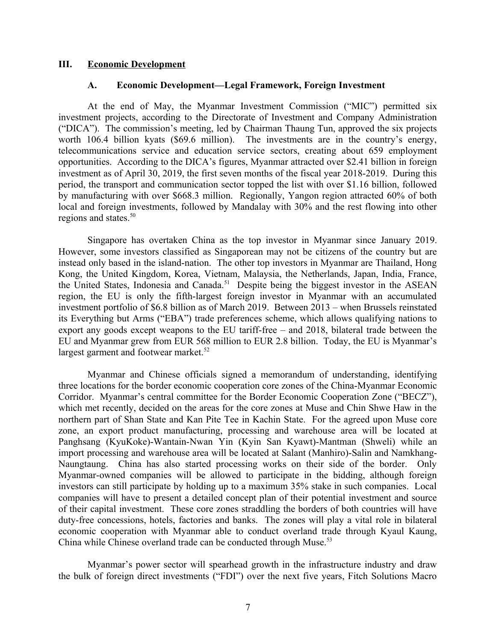#### **III. Economic Development**

#### <span id="page-6-1"></span><span id="page-6-0"></span>**A. Economic Development—Legal Framework, Foreign Investment**

At the end of May, the Myanmar Investment Commission ("MIC") permitted six investment projects, according to the Directorate of Investment and Company Administration ("DICA"). The commission's meeting, led by Chairman Thaung Tun, approved the six projects worth 106.4 billion kyats (\$69.6 million). The investments are in the country's energy, telecommunications service and education service sectors, creating about 659 employment opportunities. According to the DICA's figures, Myanmar attracted over \$2.41 billion in foreign investment as of April 30, 2019, the first seven months of the fiscal year 2018-2019. During this period, the transport and communication sector topped the list with over \$1.16 billion, followed by manufacturing with over \$668.3 million. Regionally, Yangon region attracted 60% of both local and foreign investments, followed by Mandalay with 30% and the rest flowing into other regions and states.<sup>50</sup>

Singapore has overtaken China as the top investor in Myanmar since January 2019. However, some investors classified as Singaporean may not be citizens of the country but are instead only based in the island-nation. The other top investors in Myanmar are Thailand, Hong Kong, the United Kingdom, Korea, Vietnam, Malaysia, the Netherlands, Japan, India, France, the United States, Indonesia and Canada.<sup>51</sup> Despite being the biggest investor in the ASEAN region, the EU is only the fifth-largest foreign investor in Myanmar with an accumulated investment portfolio of \$6.8 billion as of March 2019. Between 2013 – when Brussels reinstated its Everything but Arms ("EBA") trade preferences scheme, which allows qualifying nations to export any goods except weapons to the EU tariff-free – and 2018, bilateral trade between the EU and Myanmar grew from EUR 568 million to EUR 2.8 billion. Today, the EU is Myanmar's largest garment and footwear market.<sup>52</sup>

Myanmar and Chinese officials signed a memorandum of understanding, identifying three locations for the border economic cooperation core zones of the China-Myanmar Economic Corridor. Myanmar's central committee for the Border Economic Cooperation Zone ("BECZ"), which met recently, decided on the areas for the core zones at Muse and Chin Shwe Haw in the northern part of Shan State and Kan Pite Tee in Kachin State. For the agreed upon Muse core zone, an export product manufacturing, processing and warehouse area will be located at Panghsang (KyuKoke)-Wantain-Nwan Yin (Kyin San Kyawt)-Mantman (Shweli) while an import processing and warehouse area will be located at Salant (Manhiro)-Salin and Namkhang-Naungtaung. China has also started processing works on their side of the border. Only Myanmar-owned companies will be allowed to participate in the bidding, although foreign investors can still participate by holding up to a maximum 35% stake in such companies. Local companies will have to present a detailed concept plan of their potential investment and source of their capital investment. These core zones straddling the borders of both countries will have duty-free concessions, hotels, factories and banks. The zones will play a vital role in bilateral economic cooperation with Myanmar able to conduct overland trade through Kyaul Kaung, China while Chinese overland trade can be conducted through Muse.<sup>53</sup>

Myanmar's power sector will spearhead growth in the infrastructure industry and draw the bulk of foreign direct investments ("FDI") over the next five years, Fitch Solutions Macro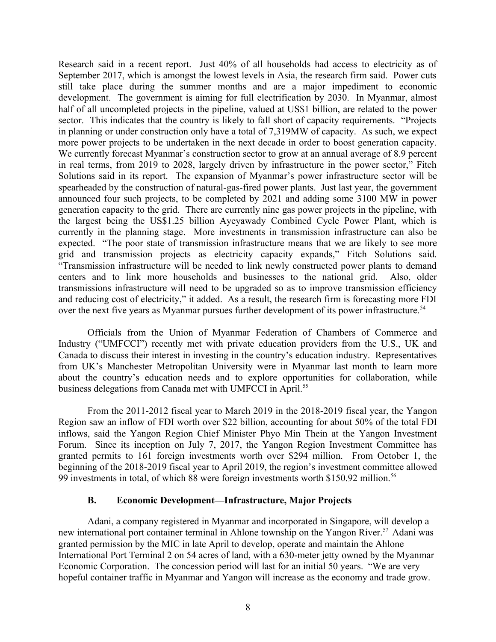Research said in a recent report. Just 40% of all households had access to electricity as of September 2017, which is amongst the lowest levels in Asia, the research firm said. Power cuts still take place during the summer months and are a major impediment to economic development. The government is aiming for full electrification by 2030. In Myanmar, almost half of all uncompleted projects in the pipeline, valued at US\$1 billion, are related to the power sector. This indicates that the country is likely to fall short of capacity requirements. "Projects" in planning or under construction only have a total of 7,319MW of capacity. As such, we expect more power projects to be undertaken in the next decade in order to boost generation capacity. We currently forecast Myanmar's construction sector to grow at an annual average of 8.9 percent in real terms, from 2019 to 2028, largely driven by infrastructure in the power sector," Fitch Solutions said in its report. The expansion of Myanmar's power infrastructure sector will be spearheaded by the construction of natural-gas-fired power plants. Just last year, the government announced four such projects, to be completed by 2021 and adding some 3100 MW in power generation capacity to the grid. There are currently nine gas power projects in the pipeline, with the largest being the US\$1.25 billion Ayeyawady Combined Cycle Power Plant, which is currently in the planning stage. More investments in transmission infrastructure can also be expected. "The poor state of transmission infrastructure means that we are likely to see more grid and transmission projects as electricity capacity expands," Fitch Solutions said. "Transmission infrastructure will be needed to link newly constructed power plants to demand centers and to link more households and businesses to the national grid. Also, older transmissions infrastructure will need to be upgraded so as to improve transmission efficiency and reducing cost of electricity," it added. As a result, the research firm is forecasting more FDI over the next five years as Myanmar pursues further development of its power infrastructure.<sup>54</sup>

Officials from the Union of Myanmar Federation of Chambers of Commerce and Industry ("UMFCCI") recently met with private education providers from the U.S., UK and Canada to discuss their interest in investing in the country's education industry. Representatives from UK's Manchester Metropolitan University were in Myanmar last month to learn more about the country's education needs and to explore opportunities for collaboration, while business delegations from Canada met with UMFCCI in April.<sup>55</sup>

From the 2011-2012 fiscal year to March 2019 in the 2018-2019 fiscal year, the Yangon Region saw an inflow of FDI worth over \$22 billion, accounting for about 50% of the total FDI inflows, said the Yangon Region Chief Minister Phyo Min Thein at the Yangon Investment Forum. Since its inception on July 7, 2017, the Yangon Region Investment Committee has granted permits to 161 foreign investments worth over \$294 million. From October 1, the beginning of the 2018-2019 fiscal year to April 2019, the region's investment committee allowed 99 investments in total, of which 88 were foreign investments worth \$150.92 million.<sup>56</sup>

#### <span id="page-7-0"></span>**B. Economic Development—Infrastructure, Major Projects**

Adani, a company registered in Myanmar and incorporated in Singapore, will develop a new international port container terminal in Ahlone township on the Yangon River.<sup>57</sup> Adani was granted permission by the MIC in late April to develop, operate and maintain the Ahlone International Port Terminal 2 on 54 acres of land, with a 630-meter jetty owned by the Myanmar Economic Corporation. The concession period will last for an initial 50 years. "We are very hopeful container traffic in Myanmar and Yangon will increase as the economy and trade grow.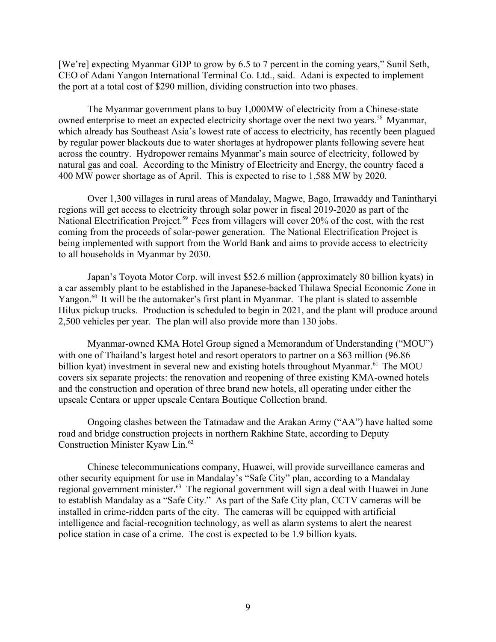[We're] expecting Myanmar GDP to grow by 6.5 to 7 percent in the coming years," Sunil Seth, CEO of Adani Yangon International Terminal Co. Ltd., said. Adani is expected to implement the port at a total cost of \$290 million, dividing construction into two phases.

The Myanmar government plans to buy 1,000MW of electricity from a Chinese-state owned enterprise to meet an expected electricity shortage over the next two years.<sup>58</sup> Myanmar, which already has Southeast Asia's lowest rate of access to electricity, has recently been plagued by regular power blackouts due to water shortages at hydropower plants following severe heat across the country. Hydropower remains Myanmar's main source of electricity, followed by natural gas and coal. According to the Ministry of Electricity and Energy, the country faced a 400 MW power shortage as of April. This is expected to rise to 1,588 MW by 2020.

Over 1,300 villages in rural areas of Mandalay, Magwe, Bago, Irrawaddy and Tanintharyi regions will get access to electricity through solar power in fiscal 2019-2020 as part of the National Electrification Project.<sup>59</sup> Fees from villagers will cover 20% of the cost, with the rest coming from the proceeds of solar-power generation. The National Electrification Project is being implemented with support from the World Bank and aims to provide access to electricity to all households in Myanmar by 2030.

Japan's Toyota Motor Corp. will invest \$52.6 million (approximately 80 billion kyats) in a car assembly plant to be established in the Japanese-backed Thilawa Special Economic Zone in Yangon.<sup>60</sup> It will be the automaker's first plant in Myanmar. The plant is slated to assemble Hilux pickup trucks. Production is scheduled to begin in 2021, and the plant will produce around 2,500 vehicles per year. The plan will also provide more than 130 jobs.

Myanmar-owned KMA Hotel Group signed a Memorandum of Understanding ("MOU") with one of Thailand's largest hotel and resort operators to partner on a \$63 million (96.86) billion kyat) investment in several new and existing hotels throughout Myanmar.<sup>61</sup> The MOU covers six separate projects: the renovation and reopening of three existing KMA-owned hotels and the construction and operation of three brand new hotels, all operating under either the upscale Centara or upper upscale Centara Boutique Collection brand.

Ongoing clashes between the Tatmadaw and the Arakan Army ("AA") have halted some road and bridge construction projects in northern Rakhine State, according to Deputy Construction Minister Kyaw Lin.<sup>62</sup>

Chinese telecommunications company, Huawei, will provide surveillance cameras and other security equipment for use in Mandalay's "Safe City" plan, according to a Mandalay regional government minister.<sup>63</sup> The regional government will sign a deal with Huawei in June to establish Mandalay as a "Safe City." As part of the Safe City plan, CCTV cameras will be installed in crime-ridden parts of the city. The cameras will be equipped with artificial intelligence and facial-recognition technology, as well as alarm systems to alert the nearest police station in case of a crime. The cost is expected to be 1.9 billion kyats.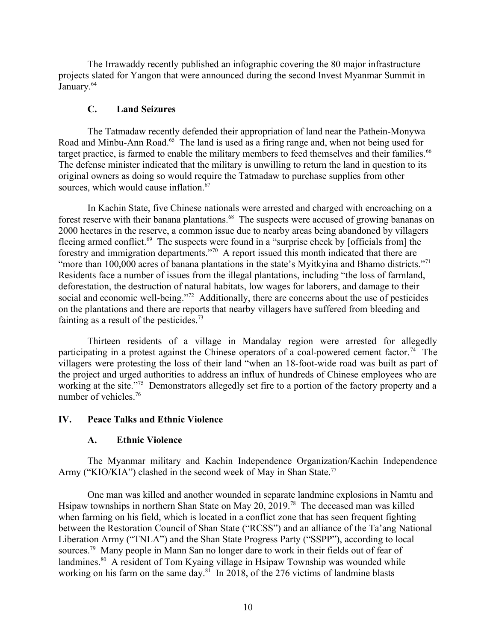The Irrawaddy recently published an infographic covering the 80 major infrastructure projects slated for Yangon that were announced during the second Invest Myanmar Summit in January.<sup>64</sup>

## **C. Land Seizures**

The Tatmadaw recently defended their appropriation of land near the Pathein-Monywa Road and Minbu-Ann Road.<sup>65</sup> The land is used as a firing range and, when not being used for target practice, is farmed to enable the military members to feed themselves and their families.<sup>66</sup> The defense minister indicated that the military is unwilling to return the land in question to its original owners as doing so would require the Tatmadaw to purchase supplies from other sources, which would cause inflation.<sup>67</sup>

In Kachin State, five Chinese nationals were arrested and charged with encroaching on a forest reserve with their banana plantations.<sup>68</sup> The suspects were accused of growing bananas on 2000 hectares in the reserve, a common issue due to nearby areas being abandoned by villagers fleeing armed conflict.<sup>69</sup> The suspects were found in a "surprise check by [officials from] the forestry and immigration departments."<sup>70</sup> A report issued this month indicated that there are "more than 100,000 acres of banana plantations in the state's Myitkyina and Bhamo districts."<sup>71</sup> Residents face a number of issues from the illegal plantations, including "the loss of farmland, deforestation, the destruction of natural habitats, low wages for laborers, and damage to their social and economic well-being."<sup>72</sup> Additionally, there are concerns about the use of pesticides on the plantations and there are reports that nearby villagers have suffered from bleeding and fainting as a result of the pesticides.<sup>73</sup>

Thirteen residents of a village in Mandalay region were arrested for allegedly participating in a protest against the Chinese operators of a coal-powered cement factor.<sup>74</sup> The villagers were protesting the loss of their land "when an 18-foot-wide road was built as part of the project and urged authorities to address an influx of hundreds of Chinese employees who are working at the site."<sup>75</sup> Demonstrators allegedly set fire to a portion of the factory property and a number of vehicles.<sup>76</sup>

## **IV. Peace Talks and Ethnic Violence**

## <span id="page-9-1"></span><span id="page-9-0"></span>**A. Ethnic Violence**

The Myanmar military and Kachin Independence Organization/Kachin Independence Army ("KIO/KIA") clashed in the second week of May in Shan State.<sup>77</sup>

One man was killed and another wounded in separate landmine explosions in Namtu and Hsipaw townships in northern Shan State on May 20, 2019.<sup>78</sup> The deceased man was killed when farming on his field, which is located in a conflict zone that has seen frequent fighting between the Restoration Council of Shan State ("RCSS") and an alliance of the Ta'ang National Liberation Army ("TNLA") and the Shan State Progress Party ("SSPP"), according to local sources.<sup>79</sup> Many people in Mann San no longer dare to work in their fields out of fear of landmines.<sup>80</sup> A resident of Tom Kyaing village in Hsipaw Township was wounded while working on his farm on the same day.<sup>81</sup> In 2018, of the 276 victims of landmine blasts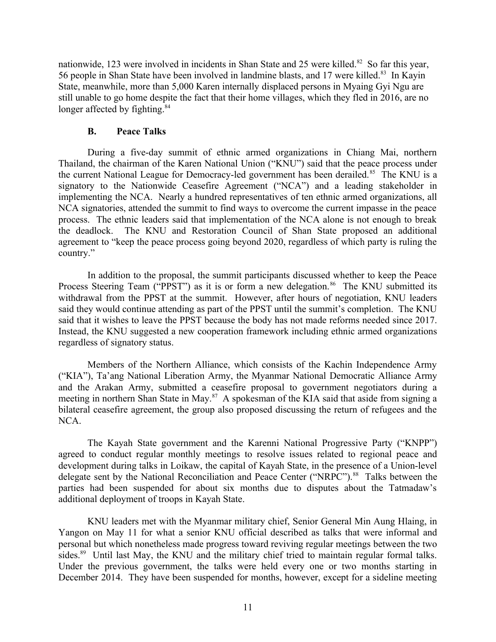nationwide, 123 were involved in incidents in Shan State and 25 were killed.<sup>82</sup> So far this year, 56 people in Shan State have been involved in landmine blasts, and 17 were killed.<sup>83</sup> In Kayin State, meanwhile, more than 5,000 Karen internally displaced persons in Myaing Gyi Ngu are still unable to go home despite the fact that their home villages, which they fled in 2016, are no longer affected by fighting.<sup>84</sup>

#### <span id="page-10-0"></span>**B. Peace Talks**

During a five-day summit of ethnic armed organizations in Chiang Mai, northern Thailand, the chairman of the Karen National Union ("KNU") said that the peace process under the current National League for Democracy-led government has been derailed.<sup>85</sup> The KNU is a signatory to the Nationwide Ceasefire Agreement ("NCA") and a leading stakeholder in implementing the NCA. Nearly a hundred representatives of ten ethnic armed organizations, all NCA signatories, attended the summit to find ways to overcome the current impasse in the peace process. The ethnic leaders said that implementation of the NCA alone is not enough to break the deadlock. The KNU and Restoration Council of Shan State proposed an additional agreement to "keep the peace process going beyond 2020, regardless of which party is ruling the country."

In addition to the proposal, the summit participants discussed whether to keep the Peace Process Steering Team ("PPST") as it is or form a new delegation.<sup>86</sup> The KNU submitted its withdrawal from the PPST at the summit. However, after hours of negotiation, KNU leaders said they would continue attending as part of the PPST until the summit's completion. The KNU said that it wishes to leave the PPST because the body has not made reforms needed since 2017. Instead, the KNU suggested a new cooperation framework including ethnic armed organizations regardless of signatory status.

Members of the Northern Alliance, which consists of the Kachin Independence Army ("KIA"), Ta'ang National Liberation Army, the Myanmar National Democratic Alliance Army and the Arakan Army, submitted a ceasefire proposal to government negotiators during a meeting in northern Shan State in May.<sup>87</sup> A spokesman of the KIA said that aside from signing a bilateral ceasefire agreement, the group also proposed discussing the return of refugees and the NCA.

The Kayah State government and the Karenni National Progressive Party ("KNPP") agreed to conduct regular monthly meetings to resolve issues related to regional peace and development during talks in Loikaw, the capital of Kayah State, in the presence of a Union-level delegate sent by the National Reconciliation and Peace Center ("NRPC").<sup>88</sup> Talks between the parties had been suspended for about six months due to disputes about the Tatmadaw's additional deployment of troops in Kayah State.

KNU leaders met with the Myanmar military chief, Senior General Min Aung Hlaing, in Yangon on May 11 for what a senior KNU official described as talks that were informal and personal but which nonetheless made progress toward reviving regular meetings between the two sides.<sup>89</sup> Until last May, the KNU and the military chief tried to maintain regular formal talks. Under the previous government, the talks were held every one or two months starting in December 2014. They have been suspended for months, however, except for a sideline meeting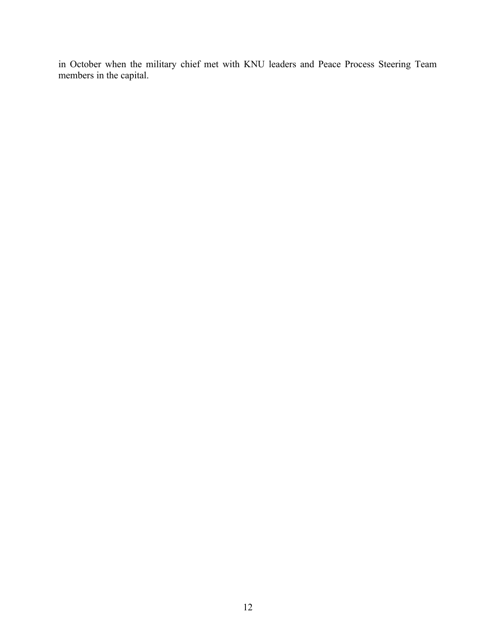in October when the military chief met with KNU leaders and Peace Process Steering Team members in the capital.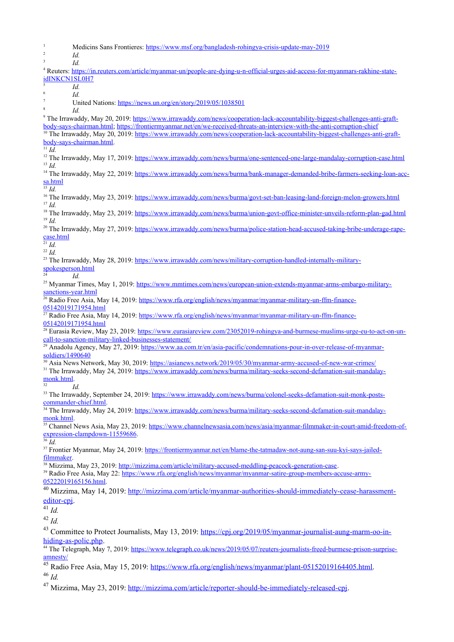1 Medicins Sans Frontieres:<https://www.msf.org/bangladesh-rohingya-crisis-update-may-2019> 2 *Id.*  3 *Id.* 4 Reuters: [https://in.reuters.com/article/myanmar-un/people-are-dying-u-n-official-urges-aid-access-for-myanmars-rakhine-state](https://in.reuters.com/article/myanmar-un/people-are-dying-u-n-official-urges-aid-access-for-myanmars-rakhine-state-idINKCN1SL0H7)[idINKCN1SL0H7](https://in.reuters.com/article/myanmar-un/people-are-dying-u-n-official-urges-aid-access-for-myanmars-rakhine-state-idINKCN1SL0H7) 5 *Id.* 6 *Id.* 7 United Nations:<https://news.un.org/en/story/2019/05/1038501> 8 *Id.* <sup>9</sup> The Irrawaddy, May 20, 2019: [https://www.irrawaddy.com/news/cooperation-lack-accountability-biggest-challenges-anti-graft](https://www.irrawaddy.com/news/cooperation-lack-accountability-biggest-challenges-anti-graft-body-says-chairman.html)[body-says-chairman.html](https://www.irrawaddy.com/news/cooperation-lack-accountability-biggest-challenges-anti-graft-body-says-chairman.html);<https://frontiermyanmar.net/en/we-received-threats-an-interview-with-the-anti-corruption-chief> <sup>10</sup> The Irrawaddy, May 20, 2019: [https://www.irrawaddy.com/news/cooperation-lack-accountability-biggest-challenges-anti-graft](https://www.irrawaddy.com/news/cooperation-lack-accountability-biggest-challenges-anti-graft-body-says-chairman.html)[body-says-chairman.html](https://www.irrawaddy.com/news/cooperation-lack-accountability-biggest-challenges-anti-graft-body-says-chairman.html).  $11$  *Id.* <sup>12</sup> The Irrawaddy, May 17, 2019: <https://www.irrawaddy.com/news/burma/one-sentenced-one-large-mandalay-corruption-case.html> <sup>13</sup> *Id.* <sup>14</sup> The Irrawaddy, May 22, 2019: [https://www.irrawaddy.com/news/burma/bank-manager-demanded-bribe-farmers-seeking-loan-acc](https://www.irrawaddy.com/news/burma/bank-manager-demanded-bribe-farmers-seeking-loan-acc-sa.html)[sa.html](https://www.irrawaddy.com/news/burma/bank-manager-demanded-bribe-farmers-seeking-loan-acc-sa.html)  $\frac{15}{14}$ <sup>16</sup> The Irrawaddy, May 23, 2019: https://www.irrawad<u>dy.com/news/burma/govt-set-ban-leasing-land-foreign-melon-growers.html</u> <sup>17</sup> *Id.* <sup>18</sup> The Irrawaddy, May 23, 2019: <https://www.irrawaddy.com/news/burma/union-govt-office-minister-unveils-reform-plan-gad.html> <sup>19</sup> *Id.* <sup>20</sup> The Irrawaddy, May 27, 2019: [https://www.irrawaddy.com/news/burma/police-station-head-accused-taking-bribe-underage-rape](https://www.irrawaddy.com/news/burma/police-station-head-accused-taking-bribe-underage-rape-case.html)[case.html](https://www.irrawaddy.com/news/burma/police-station-head-accused-taking-bribe-underage-rape-case.html) <sup>21</sup> *Id.* <sup>22</sup> *Id.* <sup>23</sup> The Irrawaddy, May 28, 2019: [https://www.irrawaddy.com/news/military-corruption-handled-internally-military](https://www.irrawaddy.com/news/military-corruption-handled-internally-military-spokesperson.html)[spokesperson.html](https://www.irrawaddy.com/news/military-corruption-handled-internally-military-spokesperson.html) <sup>24</sup> *Id.* <sup>25</sup> Myanmar Times, May 1, 2019: [https://www.mmtimes.com/news/european-union-extends-myanmar-arms-embargo-military](https://www.mmtimes.com/news/european-union-extends-myanmar-arms-embargo-military-sanctions-year.html)[sanctions-year.html](https://www.mmtimes.com/news/european-union-extends-myanmar-arms-embargo-military-sanctions-year.html) <sup>2</sup> Radio Free Asia, May 14, 2019: [https://www.rfa.org/english/news/myanmar/myanmar-military-un-ffm-finance-](https://www.rfa.org/english/news/myanmar/myanmar-military-un-ffm-finance-05142019171954.html)[05142019171954.html](https://www.rfa.org/english/news/myanmar/myanmar-military-un-ffm-finance-05142019171954.html)  $27$  Radio Free Asia, May 14, 2019: [https://www.rfa.org/english/news/myanmar/myanmar-military-un-ffm-finance-](https://www.rfa.org/english/news/myanmar/myanmar-military-un-ffm-finance-05142019171954.html)[05142019171954.html](https://www.rfa.org/english/news/myanmar/myanmar-military-un-ffm-finance-05142019171954.html) <sup>28</sup> Eurasia Review, May 23, 2019: [https://www.eurasiareview.com/23052019-rohingya-and-burmese-muslims-urge-eu-to-act-on-un](https://www.eurasiareview.com/23052019-rohingya-and-burmese-muslims-urge-eu-to-act-on-un-call-to-sanction-military-linked-businesses-statement/)[call-to-sanction-military-linked-businesses-statement/](https://www.eurasiareview.com/23052019-rohingya-and-burmese-muslims-urge-eu-to-act-on-un-call-to-sanction-military-linked-businesses-statement/) <sup>29</sup> Anadolu Agency, May 27, 2019: [https://www.aa.com.tr/en/asia-pacific/condemnations-pour-in-over-release-of-myanmar](https://www.aa.com.tr/en/asia-pacific/condemnations-pour-in-over-release-of-myanmar-soldiers/1490640)[soldiers/1490640](https://www.aa.com.tr/en/asia-pacific/condemnations-pour-in-over-release-of-myanmar-soldiers/1490640) <sup>30</sup> Asia News Network, May 30, 2019: <https://asianews.network/2019/05/30/myanmar-army-accused-of-new-war-crimes/> <sup>31</sup> The Irrawaddy, May 24, 2019: [https://www.irrawaddy.com/news/burma/military-seeks-second-defamation-suit-mandalay](https://www.irrawaddy.com/news/burma/military-seeks-second-defamation-suit-mandalay-monk.html)[monk.html](https://www.irrawaddy.com/news/burma/military-seeks-second-defamation-suit-mandalay-monk.html). <sup>32</sup> *Id.* <sup>33</sup> The Irrawaddy, September 24, 2019: [https://www.irrawaddy.com/news/burma/colonel-seeks-defamation-suit-monk-posts](https://www.irrawaddy.com/news/burma/colonel-seeks-defamation-suit-monk-posts-commander-chief.html)[commander-chief.html](https://www.irrawaddy.com/news/burma/colonel-seeks-defamation-suit-monk-posts-commander-chief.html). <sup>34</sup> The Irrawaddy, May 24, 2019: [https://www.irrawaddy.com/news/burma/military-seeks-second-defamation-suit-mandalay](https://www.irrawaddy.com/news/burma/military-seeks-second-defamation-suit-mandalay-monk.html)[monk.html](https://www.irrawaddy.com/news/burma/military-seeks-second-defamation-suit-mandalay-monk.html). <sup>35</sup> Channel News Asia, May 23, 2019: [https://www.channelnewsasia.com/news/asia/myanmar-filmmaker-in-court-amid-freedom-of](https://www.channelnewsasia.com/news/asia/myanmar-filmmaker-in-court-amid-freedom-of-expression-clampdown-11559686)[expression-clampdown-11559686](https://www.channelnewsasia.com/news/asia/myanmar-filmmaker-in-court-amid-freedom-of-expression-clampdown-11559686). <sup>36</sup> *Id.* <sup>37</sup> Frontier Myanmar, May 24, 2019: [https://frontiermyanmar.net/en/blame-the-tatmadaw-not-aung-san-suu-kyi-says-jailed](https://frontiermyanmar.net/en/blame-the-tatmadaw-not-aung-san-suu-kyi-says-jailed-filmmaker)[filmmaker](https://frontiermyanmar.net/en/blame-the-tatmadaw-not-aung-san-suu-kyi-says-jailed-filmmaker). <sup>38</sup> Mizzima, May 23, 2019: <http://mizzima.com/article/military-accused-meddling-peacock-generation-case>. <sup>39</sup> Radio Free Asia, May 22: [https://www.rfa.org/english/news/myanmar/myanmar-satire-group-members-accuse-army-](https://www.rfa.org/english/news/myanmar/myanmar-satire-group-members-accuse-army-05222019165156.html)[05222019165156.html.](https://www.rfa.org/english/news/myanmar/myanmar-satire-group-members-accuse-army-05222019165156.html) <sup>40</sup> Mizzima, May 14, 2019: [http://mizzima.com/article/myanmar-authorities-should-immediately-cease-harassment](http://mizzima.com/article/myanmar-authorities-should-immediately-cease-harassment-editor-cpj)[editor-cpj.](http://mizzima.com/article/myanmar-authorities-should-immediately-cease-harassment-editor-cpj)  $\frac{1}{41}$  *Id.* <sup>42</sup> *Id.*  <sup>43</sup> Committee to Protect Journalists, May 13, 2019: [https://cpj.org/2019/05/myanmar-journalist-aung-marm-oo-in](https://cpj.org/2019/05/myanmar-journalist-aung-marm-oo-in-hiding-as-polic.php)[hiding-as-polic.php.](https://cpj.org/2019/05/myanmar-journalist-aung-marm-oo-in-hiding-as-polic.php) <sup>44</sup> The Telegraph, May 7, 2019: [https://www.telegraph.co.uk/news/2019/05/07/reuters-journalists-freed-burmese-prison-surprise](https://www.telegraph.co.uk/news/2019/05/07/reuters-journalists-freed-burmese-prison-surprise-amnesty/)[amnesty/](https://www.telegraph.co.uk/news/2019/05/07/reuters-journalists-freed-burmese-prison-surprise-amnesty/) <sup>45</sup> Radio Free Asia, May 15, 2019: [https://www.rfa.org/english/news/myanmar/plant-05152019164405.html.](https://www.rfa.org/english/news/myanmar/plant-05152019164405.html) <sup>46</sup> *Id.* <sup>47</sup> Mizzima, May 23, 2019: [http://mizzima.com/article/reporter-should-be-immediately-released-cpj.](http://mizzima.com/article/reporter-should-be-immediately-released-cpj)